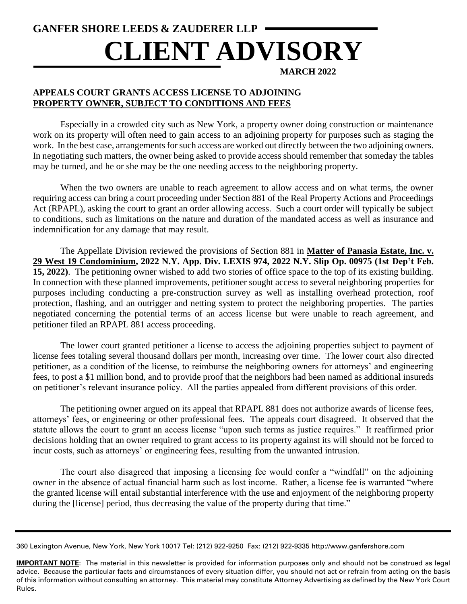# **GANFER SHORE LEEDS & ZAUDERER LLP CLIENT ADVISORY**

**MARCH 2022**

## **APPEALS COURT GRANTS ACCESS LICENSE TO ADJOINING PROPERTY OWNER, SUBJECT TO CONDITIONS AND FEES**

Especially in a crowded city such as New York, a property owner doing construction or maintenance work on its property will often need to gain access to an adjoining property for purposes such as staging the work. In the best case, arrangements for such access are worked out directly between the two adjoining owners. In negotiating such matters, the owner being asked to provide access should remember that someday the tables may be turned, and he or she may be the one needing access to the neighboring property.

When the two owners are unable to reach agreement to allow access and on what terms, the owner requiring access can bring a court proceeding under Section 881 of the Real Property Actions and Proceedings Act (RPAPL), asking the court to grant an order allowing access. Such a court order will typically be subject to conditions, such as limitations on the nature and duration of the mandated access as well as insurance and indemnification for any damage that may result.

The Appellate Division reviewed the provisions of Section 881 in **Matter of Panasia Estate, Inc. v. 29 West 19 Condominium, 2022 N.Y. App. Div. LEXIS 974, 2022 N.Y. Slip Op. 00975 (1st Dep't Feb. 15, 2022)**. The petitioning owner wished to add two stories of office space to the top of its existing building. In connection with these planned improvements, petitioner sought access to several neighboring properties for purposes including conducting a pre-construction survey as well as installing overhead protection, roof protection, flashing, and an outrigger and netting system to protect the neighboring properties. The parties negotiated concerning the potential terms of an access license but were unable to reach agreement, and petitioner filed an RPAPL 881 access proceeding.

The lower court granted petitioner a license to access the adjoining properties subject to payment of license fees totaling several thousand dollars per month, increasing over time. The lower court also directed petitioner, as a condition of the license, to reimburse the neighboring owners for attorneys' and engineering fees, to post a \$1 million bond, and to provide proof that the neighbors had been named as additional insureds on petitioner's relevant insurance policy. All the parties appealed from different provisions of this order.

The petitioning owner argued on its appeal that RPAPL 881 does not authorize awards of license fees, attorneys' fees, or engineering or other professional fees. The appeals court disagreed. It observed that the statute allows the court to grant an access license "upon such terms as justice requires." It reaffirmed prior decisions holding that an owner required to grant access to its property against its will should not be forced to incur costs, such as attorneys' or engineering fees, resulting from the unwanted intrusion.

The court also disagreed that imposing a licensing fee would confer a "windfall" on the adjoining owner in the absence of actual financial harm such as lost income. Rather, a license fee is warranted "where the granted license will entail substantial interference with the use and enjoyment of the neighboring property during the [license] period, thus decreasing the value of the property during that time."

360 Lexington Avenue, New York, New York 10017 Tel: (212) 922-9250 Fax: (212) 922-9335 http://www.ganfershore.com

**IMPORTANT NOTE**: The material in this newsletter is provided for information purposes only and should not be construed as legal advice. Because the particular facts and circumstances of every situation differ, you should not act or refrain from acting on the basis of this information without consulting an attorney. This material may constitute Attorney Advertising as defined by the New York Court Rules.